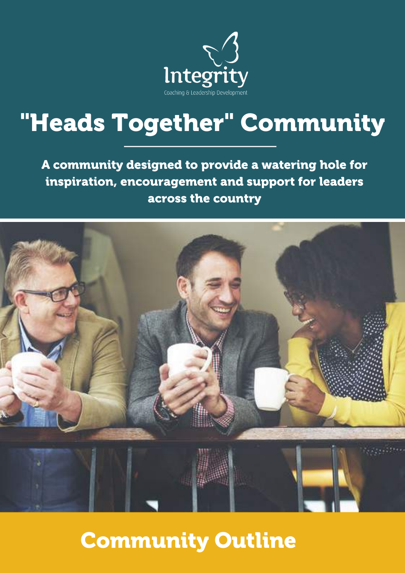

# "Heads Together" Community

A community designed to provide a watering hole for inspiration, encouragement and support for leaders across the country



## Community Outline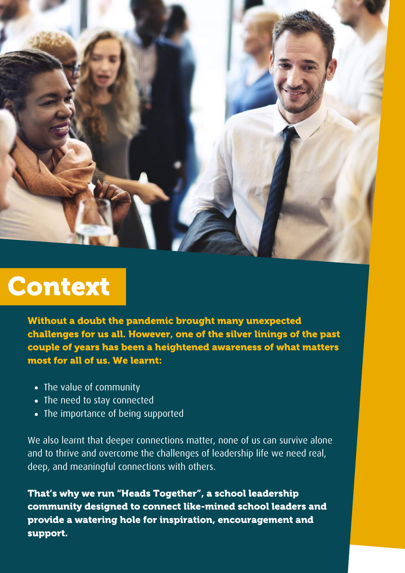

## Context

**"Headteachers give so much of themselves to support teachers** couple of years has been a heightened awareness of what matters **and to make a positive impact on children and young people, and** most for all of us. We learnt: Without a doubt the pandemic brought many unexpected challenges for us all. However, one of the silver linings of the past

- **system.** The value of community
- The need to stay connected
- The importance of being supported

**becoming acute, this research demonstrates that specialist** We also learnt that deeper connections matter, none of us can survive alone and to thrive and overcome the challenges of leadership life we need real,<br>deed and and anti-of-decreased: **personal lives of headteachers."** deep, and meaningful connections with others.

**Professsor Rachel Lofthouse** community designed to connect like-mined school leaders and That's why we run "Heads Together", a school leadership provide a watering hole for inspiration, encouragement and support.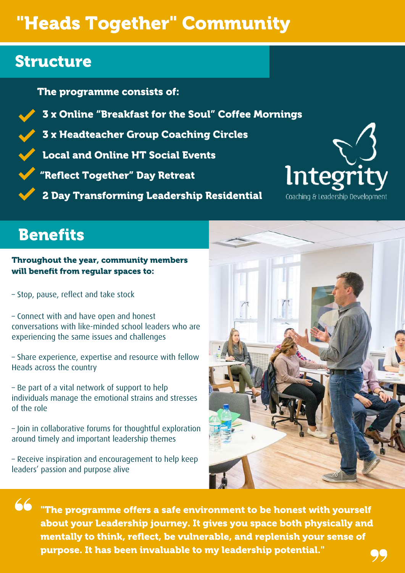## "Heads Together" Community

## Structure

The programme consists of:

3 x Online "Breakfast for the Soul" Coffee Mornings

3 x Headteacher Group Coaching Circles

Local and Online HT Social Events

"Reflect Together" Day Retreat

2 Day Transforming Leadership Residential



## **Benefits**

Throughout the year, community members will benefit from regular spaces to:

– Stop, pause, reflect and take stock

– Connect with and have open and honest conversations with like-minded school leaders who are experiencing the same issues and challenges

– Share experience, expertise and resource with fellow Heads across the country

– Be part of a vital network of support to help individuals manage the emotional strains and stresses of the role

– Join in collaborative forums for thoughtful exploration around timely and important leadership themes

– Receive inspiration and encouragement to help keep leaders' passion and purpose alive



"The programme offers a safe environment to be honest with yourself about your Leadership journey. It gives you space both physically and mentally to think, reflect, be vulnerable, and replenish your sense of purpose. It has been invaluable to my leadership potential."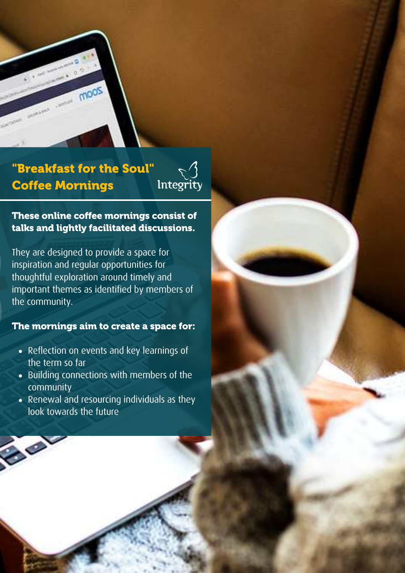

### "Breakfast for the Soul" Coffee Mornings



These online coffee mornings consist of talks and lightly facilitated discussions.

They are designed to provide a space for inspiration and regular opportunities for thoughtful exploration around timely and important themes as identified by members of the community.

#### The mornings aim to create a space for:

- Reflection on events and key learnings of the term so far
- Building connections with members of the community
- Renewal and resourcing individuals as they look towards the future

 $\bullet$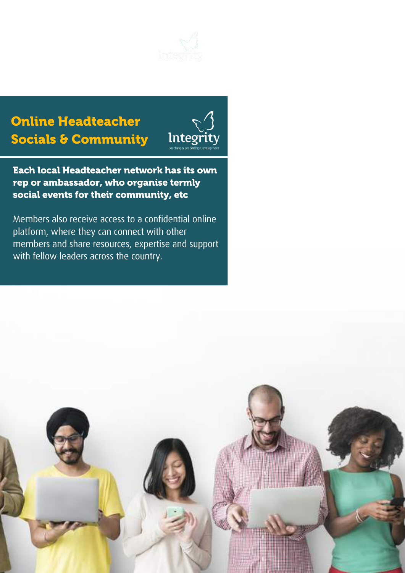

## Online Headteacher Socials & Community



Each local Headteacher network has its own rep or ambassador, who organise termly social events for their community, etc

Members also receive access to a confidential online platform, where they can connect with other members and share resources, expertise and support with fellow leaders across the country.

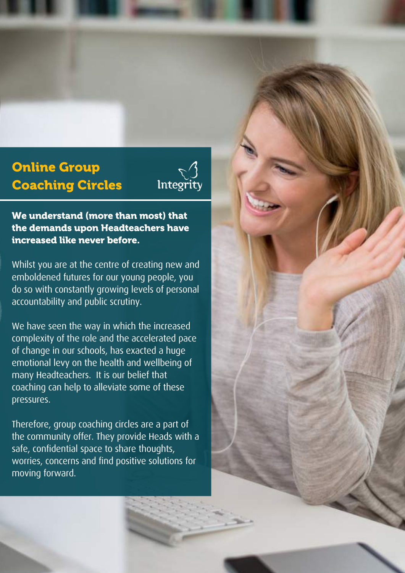## Online Group Coaching Circles



We understand (more than most) that the demands upon Headteachers have increased like never before.

Whilst you are at the centre of creating new and emboldened futures for our young people, you do so with constantly growing levels of personal accountability and public scrutiny.

We have seen the way in which the increased complexity of the role and the accelerated pace of change in our schools, has exacted a huge emotional levy on the health and wellbeing of many Headteachers. It is our belief that coaching can help to alleviate some of these pressures.

Therefore, group coaching circles are a part of the community offer. They provide Heads with a safe, confidential space to share thoughts, worries, concerns and find positive solutions for moving forward.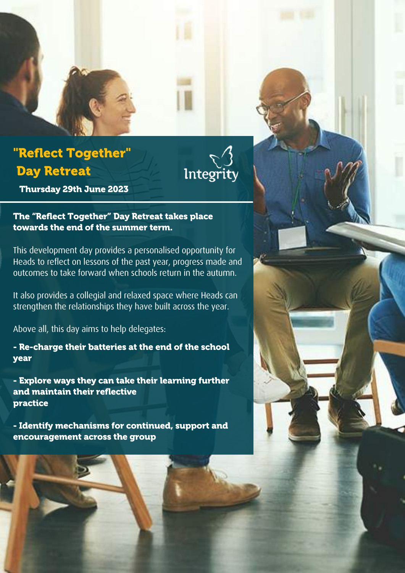## "Reflect Together" Day Retreat



Thursday 29th June 2023

The "Reflect Together" Day Retreat takes place towards the end of the summer term.

This development day provides a personalised opportunity for Heads to reflect on lessons of the past year, progress made and outcomes to take forward when schools return in the autumn.

It also provides a collegial and relaxed space where Heads can strengthen the relationships they have built across the year.

Above all, this day aims to help delegates:

- Re-charge their batteries at the end of the school year

- Explore ways they can take their learning further and maintain their reflective practice

- Identify mechanisms for continued, support and encouragement across the group

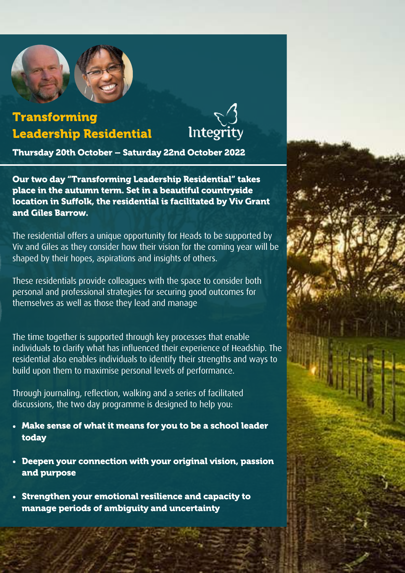

### Transforming Leadership Residential



Thursday 20th October – Saturday 22nd October 2022

Our two day "Transforming Leadership Residential" takes place in the autumn term. Set in a beautiful countryside location in Suffolk, the residential is facilitated by Viv Grant and Giles Barrow.

The residential offers a unique opportunity for Heads to be supported by Viv and Giles as they consider how their vision for the coming year will be shaped by their hopes, aspirations and insights of others.

These residentials provide colleagues with the space to consider both personal and professional strategies for securing good outcomes for themselves as well as those they lead and manage

The time together is supported through key processes that enable individuals to clarify what has influenced their experience of Headship. The residential also enables individuals to identify their strengths and ways to build upon them to maximise personal levels of performance.

Through journaling, reflection, walking and a series of facilitated discussions, the two day programme is designed to help you:

- Make sense of what it means for you to be a school leader today
- Deepen your connection with your original vision, passion and purpose
- Strengthen your emotional resilience and capacity to manage periods of ambiguity and uncertainty